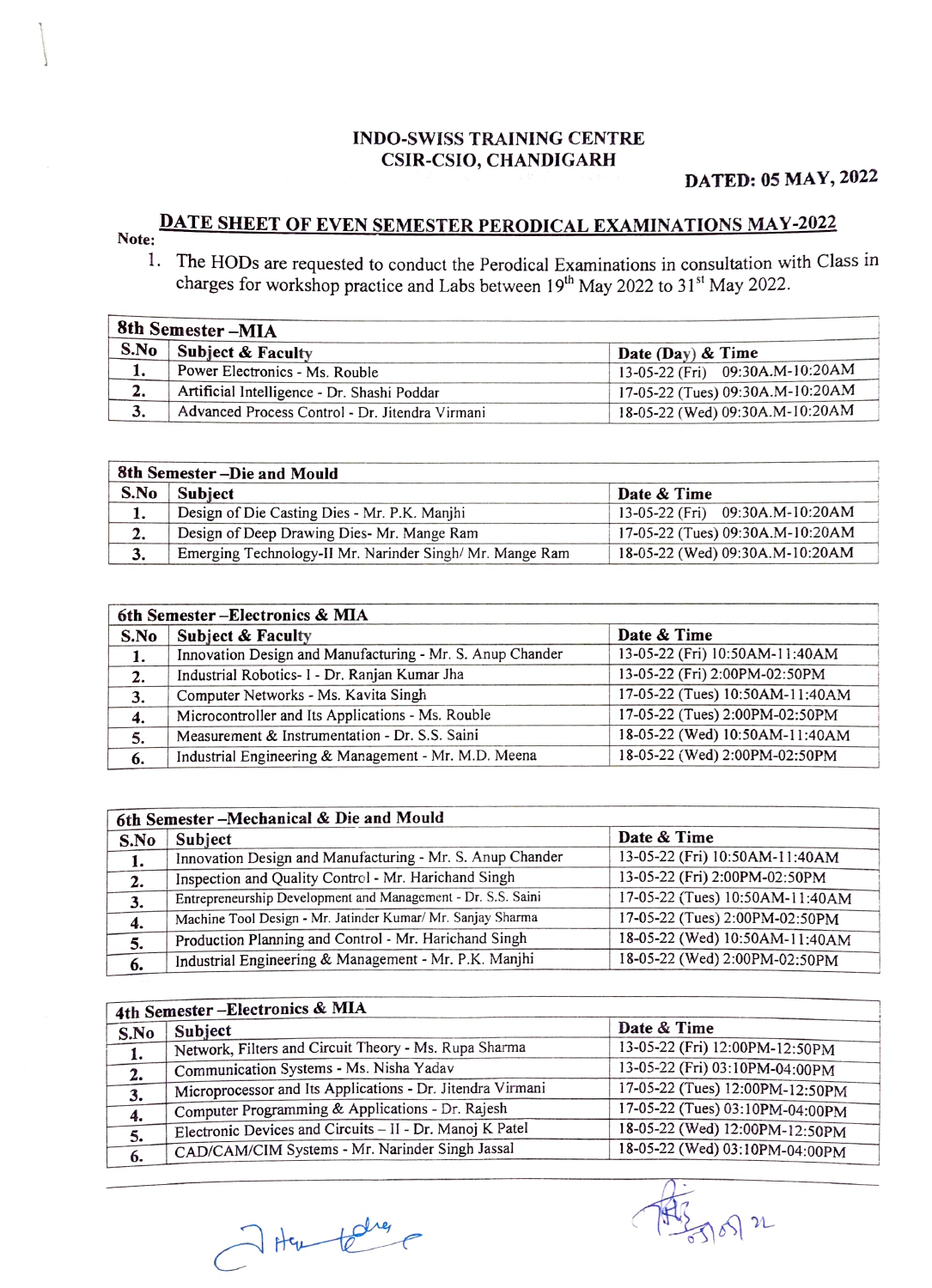## INDO-SWISS TRAINING CENTRE CSIR-CSIO, CHANDIGARH

## DATED: 05 MAY, 2022

## **DATE SHEET OF EVEN SEMESTER PERODICAL EXAMINATIONS MAY-2022**

- - . The HODs are requested to conduct the Perodical Examinations in consultation with Class in charges for workshop practice and Labs between  $19<sup>th</sup>$  May 2022 to  $31<sup>st</sup>$  May 2022.

| 8th Semester-MIA |                                                 |                                  |
|------------------|-------------------------------------------------|----------------------------------|
| S.No             | Subject & Faculty                               | Date (Day) $&$ Time              |
| 1.               | Power Electronics - Ms. Rouble                  | 13-05-22 (Fri) 09:30A.M-10:20AM  |
| 2.               | Artificial Intelligence - Dr. Shashi Poddar     | 17-05-22 (Tues) 09:30A.M-10:20AM |
| 3.               | Advanced Process Control - Dr. Jitendra Virmani | 18-05-22 (Wed) 09:30A.M-10:20AM  |

| 8th Semester - Die and Mould |                                                         |                                  |
|------------------------------|---------------------------------------------------------|----------------------------------|
| S.No                         | Subject                                                 | Date & Time                      |
| 1.                           | Design of Die Casting Dies - Mr. P.K. Manjhi            | 13-05-22 (Fri) 09:30A.M-10:20AM  |
| 2.                           | Design of Deep Drawing Dies- Mr. Mange Ram              | 17-05-22 (Tues) 09:30A.M-10:20AM |
| 3.                           | Emerging Technology-II Mr. Narinder Singh/Mr. Mange Ram | 18-05-22 (Wed) 09:30A.M-10:20AM  |

| 6th Semester-Electronics & MIA |                                                           |                                 |
|--------------------------------|-----------------------------------------------------------|---------------------------------|
| S.No                           | <b>Subject &amp; Faculty</b>                              | Date & Time                     |
| 1.                             | Innovation Design and Manufacturing - Mr. S. Anup Chander | 13-05-22 (Fri) 10:50AM-11:40AM  |
| 2.                             | Industrial Robotics- I - Dr. Ranjan Kumar Jha             | 13-05-22 (Fri) 2:00PM-02:50PM   |
| 3.                             | Computer Networks - Ms. Kavita Singh                      | 17-05-22 (Tues) 10:50AM-11:40AM |
| 4.                             | Microcontroller and Its Applications - Ms. Rouble         | 17-05-22 (Tues) 2:00PM-02:50PM  |
| 5.                             | Measurement & Instrumentation - Dr. S.S. Saini            | 18-05-22 (Wed) 10:50AM-11:40AM  |
| 6.                             | Industrial Engineering & Management - Mr. M.D. Meena      | 18-05-22 (Wed) 2:00PM-02:50PM   |

| 6th Semester-Mechanical & Die and Mould |                                                              |                                 |
|-----------------------------------------|--------------------------------------------------------------|---------------------------------|
| S.No                                    | Subject                                                      | Date & Time                     |
| 1.                                      | Innovation Design and Manufacturing - Mr. S. Anup Chander    | 13-05-22 (Fri) 10:50AM-11:40AM  |
| 2.                                      | Inspection and Quality Control - Mr. Harichand Singh         | 13-05-22 (Fri) 2:00PM-02:50PM   |
| 3.                                      | Entrepreneurship Development and Management - Dr. S.S. Saini | 17-05-22 (Tues) 10:50AM-11:40AM |
| 4.                                      | Machine Tool Design - Mr. Jatinder Kumar/ Mr. Sanjay Sharma  | 17-05-22 (Tues) 2:00PM-02:50PM  |
| 5.                                      | Production Planning and Control - Mr. Harichand Singh        | 18-05-22 (Wed) 10:50AM-11:40AM  |
| 6.                                      | Industrial Engineering & Management - Mr. P.K. Manjhi        | 18-05-22 (Wed) 2:00PM-02:50PM   |
|                                         |                                                              |                                 |

| 4th Semester-Electronics & MIA |                                                            |                                 |
|--------------------------------|------------------------------------------------------------|---------------------------------|
| S.No                           | Subject                                                    | Date & Time                     |
| 1.                             | Network, Filters and Circuit Theory - Ms. Rupa Sharma      | 13-05-22 (Fri) 12:00PM-12:50PM  |
| 2.                             | Communication Systems - Ms. Nisha Yadav                    | 13-05-22 (Fri) 03:10PM-04:00PM  |
| 3.                             | Microprocessor and Its Applications - Dr. Jitendra Virmani | 17-05-22 (Tues) 12:00PM-12:50PM |
| 4.                             | Computer Programming & Applications - Dr. Rajesh           | 17-05-22 (Tues) 03:10PM-04:00PM |
| 5.                             | Electronic Devices and Circuits - II - Dr. Manoj K Patel   | 18-05-22 (Wed) 12:00PM-12:50PM  |
| 6.                             | CAD/CAM/CIM Systems - Mr. Narinder Singh Jassal            | 18-05-22 (Wed) 03:10PM-04:00PM  |
|                                |                                                            |                                 |

 $582$ 

7 Har telles